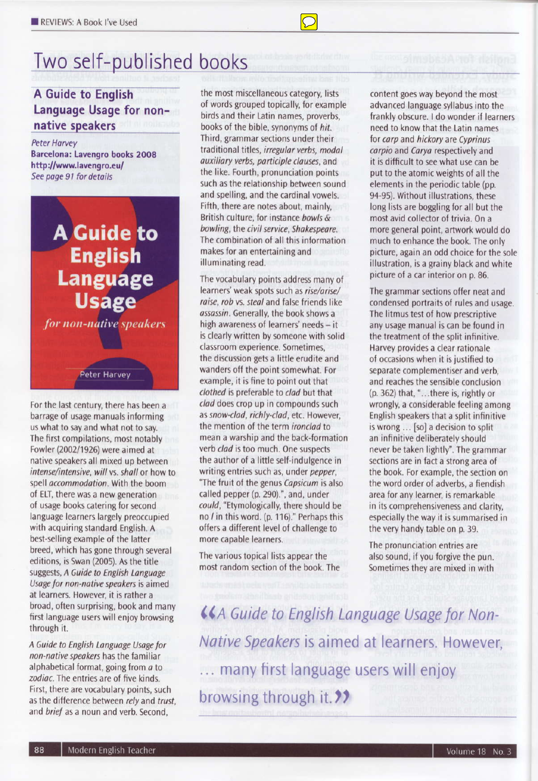# Two self-published books

## A Guide to English Language Usage for nonnative speakers

**Peter Harvey** Barcelona: Lavengro books 2008 http://www.lavengro.eu/ See page 91 for details



for non-native speakers

#### **Peter Harvey**

For the last century, there has been a barrage of usage manuals informing us what to say and what not to say. The first compilations, most notably Fowler (2002/1926) were aimed at native speakers all mixed up between intense/intensive, will vs. shall or how to spell accommodation. With the boom of ELT, there was a new generation of usage books catering for second language learners largely preoccupied with acquiring standard English. A best-selling example of the latter breed, which has gone through several editions, is Swan (2005). As the title suggests, A Guide to English Language Usage for non-native speakers is aimed at learners. However, it is rather a broad, often surprising, book and many first language users will enjoy browsing through it.

A Guide to English Language Usage for non-native speakers has the familiar alphabetical format, going from a to zodiac. The entries are of five kinds. First, there are vocabulary points, such as the difference between rely and trust. and brief as a noun and verb. Second.

the most miscellaneous category, lists of words grouped topically, for example birds and their Latin names, proverbs, books of the bible, synonyms of hit. Third, grammar sections under their traditional titles, irregular verbs, modal auxiliary verbs, participle clauses, and the like. Fourth, pronunciation points such as the relationship between sound and spelling, and the cardinal vowels. Fifth, there are notes about, mainly. British culture, for instance bowls & bowling, the civil service, Shakespeare. The combination of all this information makes for an entertaining and illuminating read.

The vocabulary points address many of learners' weak spots such as rise/arise/ raise, rob vs. steal and false friends like assassin. Generally, the book shows a high awareness of learners' needs - it is clearly written by someone with solid classroom experience. Sometimes. the discussion gets a little erudite and wanders off the point somewhat. For example, it is fine to point out that clothed is preferable to clad but that clad does crop up in compounds such as snow-clad, richly-clad, etc. However, the mention of the term ironclad to mean a warship and the back-formation verb clad is too much. One suspects the author of a little self-indulgence in writing entries such as, under pepper. "The fruit of the genus Capsicum is also called pepper (p. 290).", and, under could, "Etymologically, there should be no / in this word. (p. 116)." Perhaps this offers a different level of challenge to more capable learners.

The various topical lists appear the most random section of the book. The content goes way beyond the most advanced language syllabus into the frankly obscure. I do wonder if learners need to know that the Latin names for carp and hickory are Cyprinus carpio and Carya respectively and it is difficult to see what use can be put to the atomic weights of all the elements in the periodic table (pp. 94-95). Without illustrations, these long lists are boggling for all but the most avid collector of trivia. On a more general point, artwork would do much to enhance the book. The only picture, again an odd choice for the sole illustration, is a grainy black and white picture of a car interior on p. 86.

The grammar sections offer neat and condensed portraits of rules and usage. The litmus test of how prescriptive any usage manual is can be found in the treatment of the split infinitive. Harvey provides a clear rationale of occasions when it is justified to separate complementiser and verb. and reaches the sensible conclusion (p. 362) that, "...there is, rightly or wrongly, a considerable feeling among English speakers that a split infinitive is wrong ... [so] a decision to split an infinitive deliberately should never be taken lightly". The grammar sections are in fact a strong area of the book. For example, the section on the word order of adverbs, a fiendish area for any learner, is remarkable in its comprehensiveness and clarity, especially the way it is summarised in the very handy table on p. 39.

The pronunciation entries are also sound, if you forgive the pun. Sometimes they are mixed in with

**KA Guide to English Language Usage for Non-**Native Speakers is aimed at learners. However, ... many first language users will enjoy browsing through it. ??